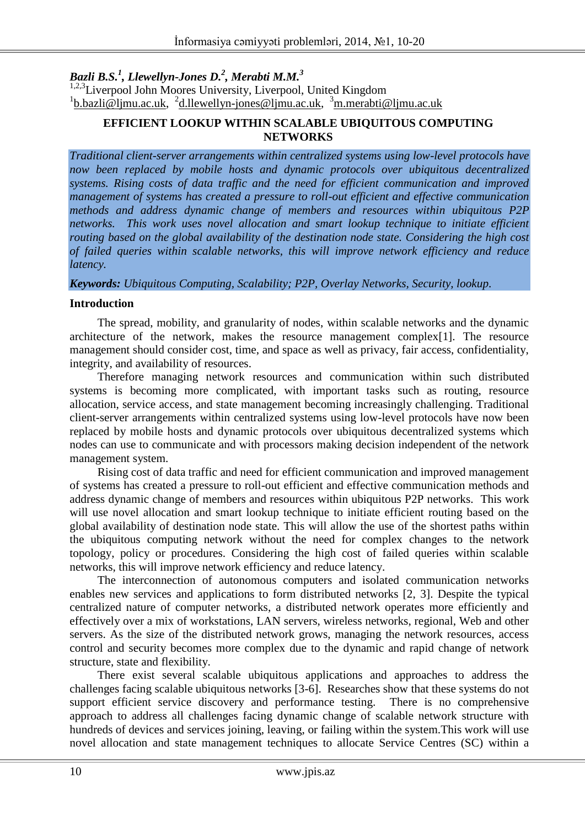*Bazli B.S. 1 , Llewellyn-Jones D.<sup>2</sup> , Merabti M.M.<sup>3</sup>*

<sup>1,2,3</sup>Liverpool John Moores University, Liverpool, United Kingdom <sup>1</sup>[b.bazli@ljmu.ac.uk,](mailto:b.bazli@ljmu.ac.uk) <sup>2</sup>[d.llewellyn-jones@ljmu.ac.uk,](mailto:d.llewellyn-jones@ljmu.ac.uk) <sup>3</sup>[m.merabti@ljmu.ac.uk](mailto:m.merabti@ljmu.ac.uk)

# **EFFICIENT LOOKUP WITHIN SCALABLE UBIQUITOUS COMPUTING NETWORKS**

*Traditional client-server arrangements within centralized systems using low-level protocols have now been replaced by mobile hosts and dynamic protocols over ubiquitous decentralized systems. Rising costs of data traffic and the need for efficient communication and improved management of systems has created a pressure to roll-out efficient and effective communication methods and address dynamic change of members and resources within ubiquitous P2P networks. This work uses novel allocation and smart lookup technique to initiate efficient routing based on the global availability of the destination node state. Considering the high cost of failed queries within scalable networks, this will improve network efficiency and reduce latency.*

#### *Keywords: Ubiquitous Computing, Scalability; P2P, Overlay Networks, Security, lookup.*

## **Introduction**

The spread, mobility, and granularity of nodes, within scalable networks and the dynamic architecture of the network, makes the resource management complex[1]. The resource management should consider cost, time, and space as well as privacy, fair access, confidentiality, integrity, and availability of resources.

Therefore managing network resources and communication within such distributed systems is becoming more complicated, with important tasks such as routing, resource allocation, service access, and state management becoming increasingly challenging. Traditional client-server arrangements within centralized systems using low-level protocols have now been replaced by mobile hosts and dynamic protocols over ubiquitous decentralized systems which nodes can use to communicate and with processors making decision independent of the network management system.

Rising cost of data traffic and need for efficient communication and improved management of systems has created a pressure to roll-out efficient and effective communication methods and address dynamic change of members and resources within ubiquitous P2P networks. This work will use novel allocation and smart lookup technique to initiate efficient routing based on the global availability of destination node state. This will allow the use of the shortest paths within the ubiquitous computing network without the need for complex changes to the network topology, policy or procedures. Considering the high cost of failed queries within scalable networks, this will improve network efficiency and reduce latency.

The interconnection of autonomous computers and isolated communication networks enables new services and applications to form distributed networks [2, 3]. Despite the typical centralized nature of computer networks, a distributed network operates more efficiently and effectively over a mix of workstations, LAN servers, wireless networks, regional, Web and other servers. As the size of the distributed network grows, managing the network resources, access control and security becomes more complex due to the dynamic and rapid change of network structure, state and flexibility.

There exist several scalable ubiquitous applications and approaches to address the challenges facing scalable ubiquitous networks [3-6]. Researches show that these systems do not support efficient service discovery and performance testing. There is no comprehensive approach to address all challenges facing dynamic change of scalable network structure with hundreds of devices and services joining, leaving, or failing within the system.This work will use novel allocation and state management techniques to allocate Service Centres (SC) within a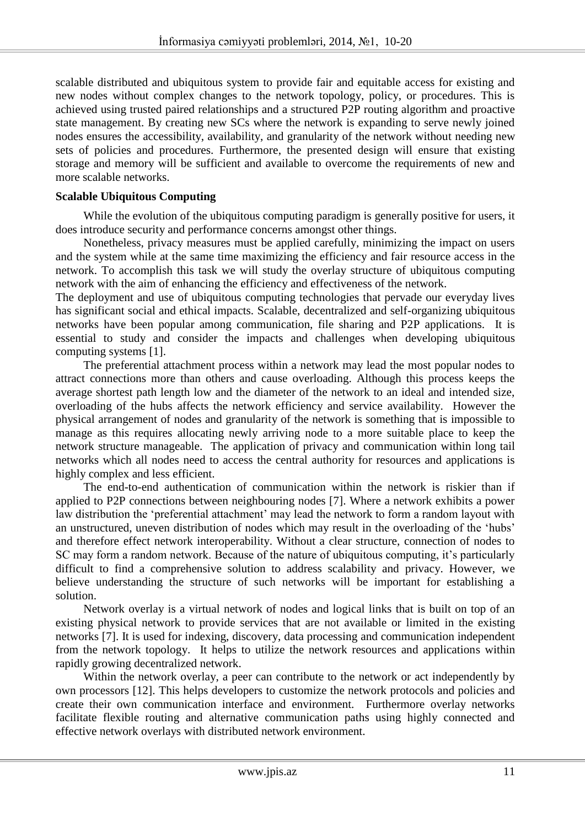scalable distributed and ubiquitous system to provide fair and equitable access for existing and new nodes without complex changes to the network topology, policy, or procedures. This is achieved using trusted paired relationships and a structured P2P routing algorithm and proactive state management. By creating new SCs where the network is expanding to serve newly joined nodes ensures the accessibility, availability, and granularity of the network without needing new sets of policies and procedures. Furthermore, the presented design will ensure that existing storage and memory will be sufficient and available to overcome the requirements of new and more scalable networks.

## **Scalable Ubiquitous Computing**

While the evolution of the ubiquitous computing paradigm is generally positive for users, it does introduce security and performance concerns amongst other things.

Nonetheless, privacy measures must be applied carefully, minimizing the impact on users and the system while at the same time maximizing the efficiency and fair resource access in the network. To accomplish this task we will study the overlay structure of ubiquitous computing network with the aim of enhancing the efficiency and effectiveness of the network.

The deployment and use of ubiquitous computing technologies that pervade our everyday lives has significant social and ethical impacts. Scalable, decentralized and self-organizing ubiquitous networks have been popular among communication, file sharing and P2P applications. It is essential to study and consider the impacts and challenges when developing ubiquitous computing systems [1].

The preferential attachment process within a network may lead the most popular nodes to attract connections more than others and cause overloading. Although this process keeps the average shortest path length low and the diameter of the network to an ideal and intended size, overloading of the hubs affects the network efficiency and service availability. However the physical arrangement of nodes and granularity of the network is something that is impossible to manage as this requires allocating newly arriving node to a more suitable place to keep the network structure manageable. The application of privacy and communication within long tail networks which all nodes need to access the central authority for resources and applications is highly complex and less efficient.

The end-to-end authentication of communication within the network is riskier than if applied to P2P connections between neighbouring nodes [7]. Where a network exhibits a power law distribution the 'preferential attachment' may lead the network to form a random layout with an unstructured, uneven distribution of nodes which may result in the overloading of the 'hubs' and therefore effect network interoperability. Without a clear structure, connection of nodes to SC may form a random network. Because of the nature of ubiquitous computing, it's particularly difficult to find a comprehensive solution to address scalability and privacy. However, we believe understanding the structure of such networks will be important for establishing a solution.

Network overlay is a virtual network of nodes and logical links that is built on top of an existing physical network to provide services that are not available or limited in the existing networks [7]. It is used for indexing, discovery, data processing and communication independent from the network topology. It helps to utilize the network resources and applications within rapidly growing decentralized network.

Within the network overlay, a peer can contribute to the network or act independently by own processors [12]. This helps developers to customize the network protocols and policies and create their own communication interface and environment. Furthermore overlay networks facilitate flexible routing and alternative communication paths using highly connected and effective network overlays with distributed network environment.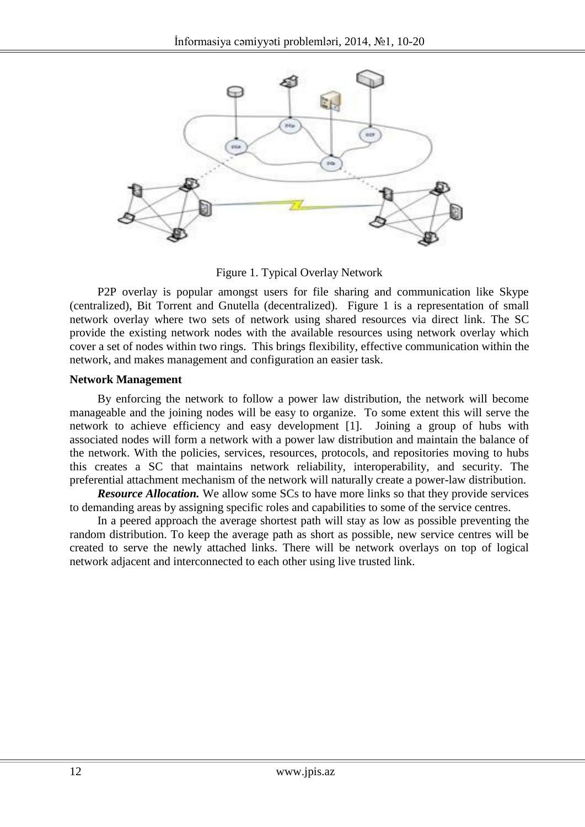

Figure 1. Typical Overlay Network

P2P overlay is popular amongst users for file sharing and communication like Skype (centralized), Bit Torrent and Gnutella (decentralized). Figure 1 is a representation of small network overlay where two sets of network using shared resources via direct link. The SC provide the existing network nodes with the available resources using network overlay which cover a set of nodes within two rings. This brings flexibility, effective communication within the network, and makes management and configuration an easier task.

#### **Network Management**

By enforcing the network to follow a power law distribution, the network will become manageable and the joining nodes will be easy to organize. To some extent this will serve the network to achieve efficiency and easy development [1]. Joining a group of hubs with associated nodes will form a network with a power law distribution and maintain the balance of the network. With the policies, services, resources, protocols, and repositories moving to hubs this creates a SC that maintains network reliability, interoperability, and security. The preferential attachment mechanism of the network will naturally create a power-law distribution.

*Resource Allocation.* We allow some SCs to have more links so that they provide services to demanding areas by assigning specific roles and capabilities to some of the service centres.

In a peered approach the average shortest path will stay as low as possible preventing the random distribution. To keep the average path as short as possible, new service centres will be created to serve the newly attached links. There will be network overlays on top of logical network adjacent and interconnected to each other using live trusted link.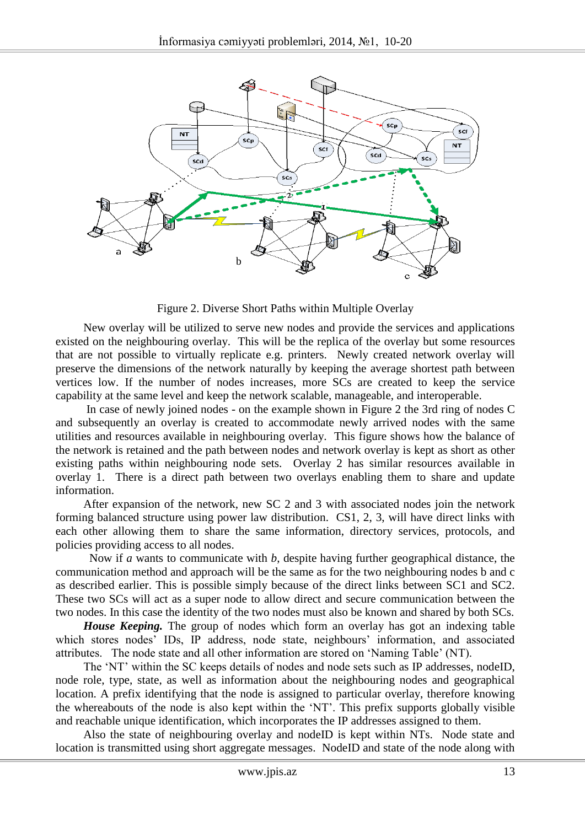

Figure 2. Diverse Short Paths within Multiple Overlay

New overlay will be utilized to serve new nodes and provide the services and applications existed on the neighbouring overlay. This will be the replica of the overlay but some resources that are not possible to virtually replicate e.g. printers. Newly created network overlay will preserve the dimensions of the network naturally by keeping the average shortest path between vertices low. If the number of nodes increases, more SCs are created to keep the service capability at the same level and keep the network scalable, manageable, and interoperable.

In case of newly joined nodes - on the example shown in Figure 2 the 3rd ring of nodes C and subsequently an overlay is created to accommodate newly arrived nodes with the same utilities and resources available in neighbouring overlay. This figure shows how the balance of the network is retained and the path between nodes and network overlay is kept as short as other existing paths within neighbouring node sets. Overlay 2 has similar resources available in overlay 1. There is a direct path between two overlays enabling them to share and update information.

After expansion of the network, new SC 2 and 3 with associated nodes join the network forming balanced structure using power law distribution. CS1, 2, 3, will have direct links with each other allowing them to share the same information, directory services, protocols, and policies providing access to all nodes.

 Now if *a* wants to communicate with *b*, despite having further geographical distance, the communication method and approach will be the same as for the two neighbouring nodes b and c as described earlier. This is possible simply because of the direct links between SC1 and SC2. These two SCs will act as a super node to allow direct and secure communication between the two nodes. In this case the identity of the two nodes must also be known and shared by both SCs.

*House Keeping.* The group of nodes which form an overlay has got an indexing table which stores nodes' IDs, IP address, node state, neighbours' information, and associated attributes. The node state and all other information are stored on 'Naming Table' (NT).

The 'NT' within the SC keeps details of nodes and node sets such as IP addresses, nodeID, node role, type, state, as well as information about the neighbouring nodes and geographical location. A prefix identifying that the node is assigned to particular overlay, therefore knowing the whereabouts of the node is also kept within the 'NT'. This prefix supports globally visible and reachable unique identification, which incorporates the IP addresses assigned to them.

Also the state of neighbouring overlay and nodeID is kept within NTs. Node state and location is transmitted using short aggregate messages. NodeID and state of the node along with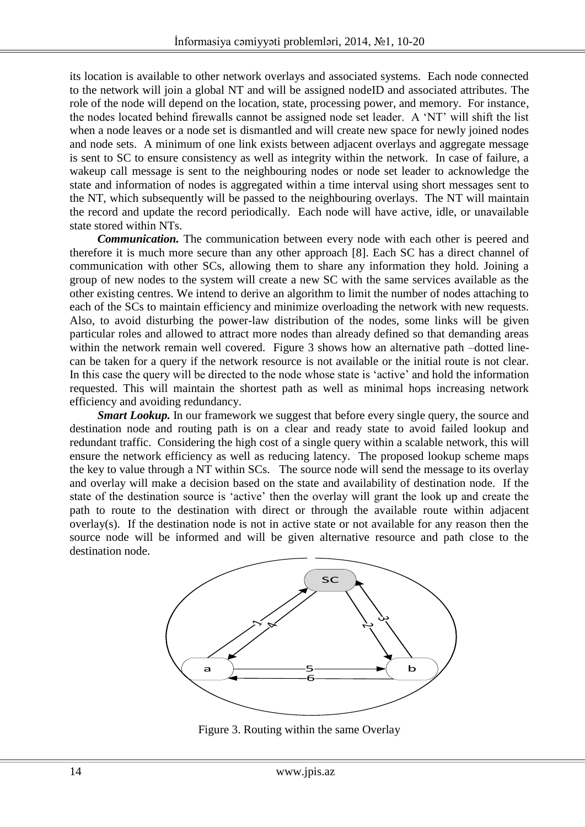its location is available to other network overlays and associated systems. Each node connected to the network will join a global NT and will be assigned nodeID and associated attributes. The role of the node will depend on the location, state, processing power, and memory. For instance, the nodes located behind firewalls cannot be assigned node set leader. A 'NT' will shift the list when a node leaves or a node set is dismantled and will create new space for newly joined nodes and node sets. A minimum of one link exists between adjacent overlays and aggregate message is sent to SC to ensure consistency as well as integrity within the network. In case of failure, a wakeup call message is sent to the neighbouring nodes or node set leader to acknowledge the state and information of nodes is aggregated within a time interval using short messages sent to the NT, which subsequently will be passed to the neighbouring overlays. The NT will maintain the record and update the record periodically. Each node will have active, idle, or unavailable state stored within NTs.

*Communication.* The communication between every node with each other is peered and therefore it is much more secure than any other approach [8]. Each SC has a direct channel of communication with other SCs, allowing them to share any information they hold. Joining a group of new nodes to the system will create a new SC with the same services available as the other existing centres. We intend to derive an algorithm to limit the number of nodes attaching to each of the SCs to maintain efficiency and minimize overloading the network with new requests. Also, to avoid disturbing the power-law distribution of the nodes, some links will be given particular roles and allowed to attract more nodes than already defined so that demanding areas within the network remain well covered. Figure 3 shows how an alternative path –dotted linecan be taken for a query if the network resource is not available or the initial route is not clear. In this case the query will be directed to the node whose state is 'active' and hold the information requested. This will maintain the shortest path as well as minimal hops increasing network efficiency and avoiding redundancy.

*Smart Lookup*. In our framework we suggest that before every single query, the source and destination node and routing path is on a clear and ready state to avoid failed lookup and redundant traffic. Considering the high cost of a single query within a scalable network, this will ensure the network efficiency as well as reducing latency. The proposed lookup scheme maps the key to value through a NT within SCs. The source node will send the message to its overlay and overlay will make a decision based on the state and availability of destination node. If the state of the destination source is 'active' then the overlay will grant the look up and create the path to route to the destination with direct or through the available route within adjacent overlay(s). If the destination node is not in active state or not available for any reason then the source node will be informed and will be given alternative resource and path close to the destination node.



Figure 3. Routing within the same Overlay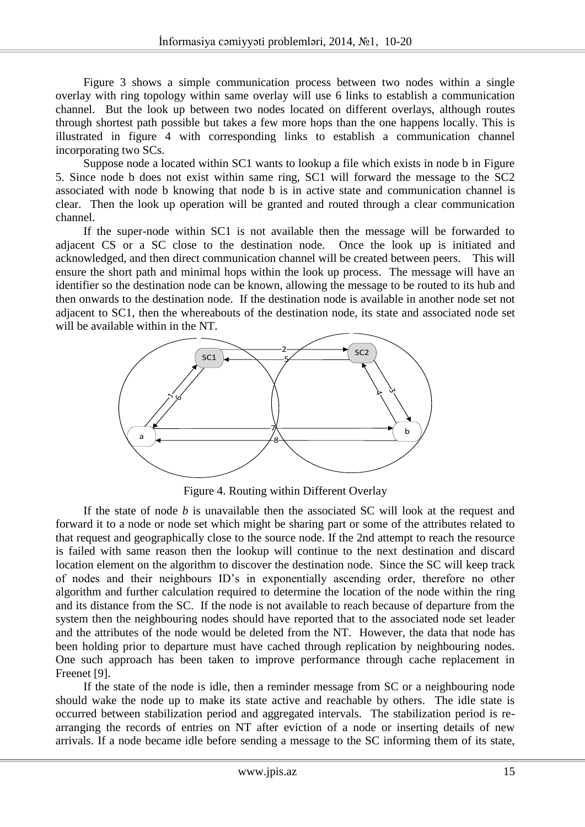Figure 3 shows a simple communication process between two nodes within a single overlay with ring topology within same overlay will use 6 links to establish a communication channel. But the look up between two nodes located on different overlays, although routes through shortest path possible but takes a few more hops than the one happens locally. This is illustrated in figure 4 with corresponding links to establish a communication channel incorporating two SCs.

Suppose node a located within SC1 wants to lookup a file which exists in node b in Figure 5. Since node b does not exist within same ring, SC1 will forward the message to the SC2 associated with node b knowing that node b is in active state and communication channel is clear. Then the look up operation will be granted and routed through a clear communication channel.

If the super-node within SC1 is not available then the message will be forwarded to adjacent CS or a SC close to the destination node. Once the look up is initiated and acknowledged, and then direct communication channel will be created between peers. This will ensure the short path and minimal hops within the look up process. The message will have an identifier so the destination node can be known, allowing the message to be routed to its hub and then onwards to the destination node. If the destination node is available in another node set not adjacent to SC1, then the whereabouts of the destination node, its state and associated node set will be available within in the NT.



Figure 4. Routing within Different Overlay

If the state of node *b* is unavailable then the associated SC will look at the request and forward it to a node or node set which might be sharing part or some of the attributes related to that request and geographically close to the source node. If the 2nd attempt to reach the resource is failed with same reason then the lookup will continue to the next destination and discard location element on the algorithm to discover the destination node. Since the SC will keep track of nodes and their neighbours ID's in exponentially ascending order, therefore no other algorithm and further calculation required to determine the location of the node within the ring and its distance from the SC. If the node is not available to reach because of departure from the system then the neighbouring nodes should have reported that to the associated node set leader and the attributes of the node would be deleted from the NT. However, the data that node has been holding prior to departure must have cached through replication by neighbouring nodes. One such approach has been taken to improve performance through cache replacement in Freenet [9].

If the state of the node is idle, then a reminder message from SC or a neighbouring node should wake the node up to make its state active and reachable by others. The idle state is occurred between stabilization period and aggregated intervals. The stabilization period is rearranging the records of entries on NT after eviction of a node or inserting details of new arrivals. If a node became idle before sending a message to the SC informing them of its state,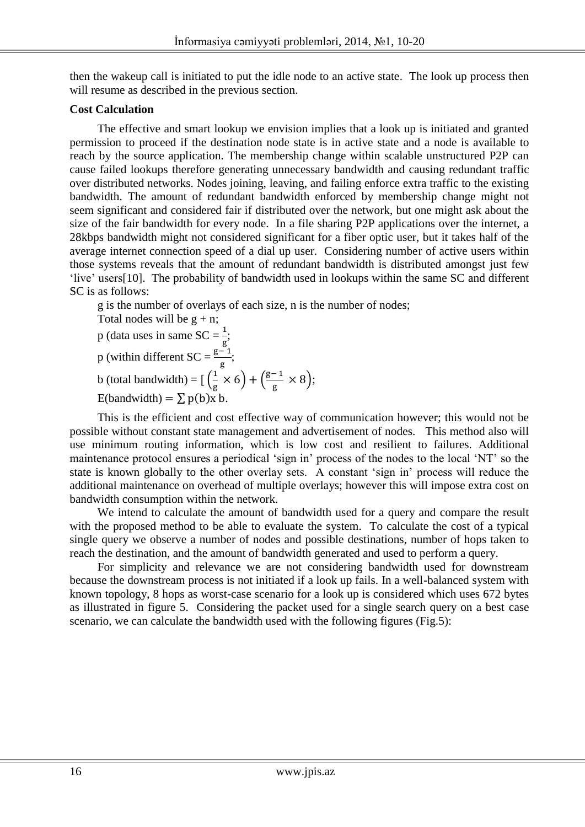then the wakeup call is initiated to put the idle node to an active state. The look up process then will resume as described in the previous section.

## **Cost Calculation**

The effective and smart lookup we envision implies that a look up is initiated and granted permission to proceed if the destination node state is in active state and a node is available to reach by the source application. The membership change within scalable unstructured P2P can cause failed lookups therefore generating unnecessary bandwidth and causing redundant traffic over distributed networks. Nodes joining, leaving, and failing enforce extra traffic to the existing bandwidth. The amount of redundant bandwidth enforced by membership change might not seem significant and considered fair if distributed over the network, but one might ask about the size of the fair bandwidth for every node. In a file sharing P2P applications over the internet, a 28kbps bandwidth might not considered significant for a fiber optic user, but it takes half of the average internet connection speed of a dial up user. Considering number of active users within those systems reveals that the amount of redundant bandwidth is distributed amongst just few 'live' users[10]. The probability of bandwidth used in lookups within the same SC and different SC is as follows:

g is the number of overlays of each size, n is the number of nodes;

Total nodes will be  $g + n$ ;

p (data uses in same SC = 
$$
\frac{1}{g}
$$
;  
p (within different SC =  $\frac{g-1}{g}$ .

p (within different  $SC = \frac{g-1}{g}$ ; b (total bandwidth) =  $\left[\right]{\frac{1}{2}}$  $\frac{1}{\text{g}} \times 6$  +  $\left(\frac{\text{g}}{\text{g}}\right)$  $\frac{1}{\text{g}} \times 8$ );

E(bandwidth) =  $\sum p(b)x b$ .

This is the efficient and cost effective way of communication however; this would not be possible without constant state management and advertisement of nodes. This method also will use minimum routing information, which is low cost and resilient to failures. Additional maintenance protocol ensures a periodical 'sign in' process of the nodes to the local 'NT' so the state is known globally to the other overlay sets. A constant 'sign in' process will reduce the additional maintenance on overhead of multiple overlays; however this will impose extra cost on bandwidth consumption within the network.

We intend to calculate the amount of bandwidth used for a query and compare the result with the proposed method to be able to evaluate the system. To calculate the cost of a typical single query we observe a number of nodes and possible destinations, number of hops taken to reach the destination, and the amount of bandwidth generated and used to perform a query.

For simplicity and relevance we are not considering bandwidth used for downstream because the downstream process is not initiated if a look up fails. In a well-balanced system with known topology, 8 hops as worst-case scenario for a look up is considered which uses 672 bytes as illustrated in figure 5. Considering the packet used for a single search query on a best case scenario, we can calculate the bandwidth used with the following figures (Fig.5):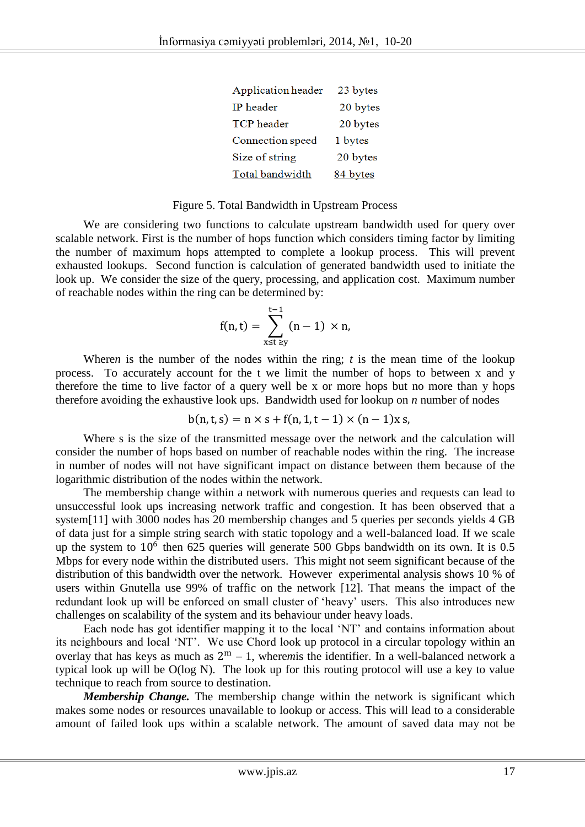| Application header | 23 bytes |
|--------------------|----------|
| IP header          | 20 bytes |
| <b>TCP</b> header  | 20 bytes |
| Connection speed   | 1 bytes  |
| Size of string     | 20 bytes |
| Total bandwidth    | 84 bytes |

#### Figure 5. Total Bandwidth in Upstream Process

We are considering two functions to calculate upstream bandwidth used for query over scalable network. First is the number of hops function which considers timing factor by limiting the number of maximum hops attempted to complete a lookup process. This will prevent exhausted lookups. Second function is calculation of generated bandwidth used to initiate the look up. We consider the size of the query, processing, and application cost. Maximum number of reachable nodes within the ring can be determined by:

$$
f(n,t)=\sum_{x\leq t\,\geq y}^{t-1}(n-1)\,\times n,
$$

Where*n* is the number of the nodes within the ring; *t* is the mean time of the lookup process. To accurately account for the t we limit the number of hops to between x and y therefore the time to live factor of a query well be x or more hops but no more than y hops therefore avoiding the exhaustive look ups. Bandwidth used for lookup on *n* number of nodes

$$
b(n, t, s) = n \times s + f(n, 1, t - 1) \times (n - 1)x s,
$$

Where s is the size of the transmitted message over the network and the calculation will consider the number of hops based on number of reachable nodes within the ring. The increase in number of nodes will not have significant impact on distance between them because of the logarithmic distribution of the nodes within the network.

The membership change within a network with numerous queries and requests can lead to unsuccessful look ups increasing network traffic and congestion. It has been observed that a system[11] with 3000 nodes has 20 membership changes and 5 queries per seconds yields 4 GB of data just for a simple string search with static topology and a well-balanced load. If we scale up the system to  $10^6$  then 625 queries will generate 500 Gbps bandwidth on its own. It is 0.5 Mbps for every node within the distributed users. This might not seem significant because of the distribution of this bandwidth over the network. However experimental analysis shows 10 % of users within Gnutella use 99% of traffic on the network [12]. That means the impact of the redundant look up will be enforced on small cluster of 'heavy' users. This also introduces new challenges on scalability of the system and its behaviour under heavy loads.

Each node has got identifier mapping it to the local 'NT' and contains information about its neighbours and local 'NT'. We use Chord look up protocol in a circular topology within an overlay that has keys as much as  $2^m - 1$ , wheremis the identifier. In a well-balanced network a typical look up will be O(log N). The look up for this routing protocol will use a key to value technique to reach from source to destination.

*Membership Change*. The membership change within the network is significant which makes some nodes or resources unavailable to lookup or access. This will lead to a considerable amount of failed look ups within a scalable network. The amount of saved data may not be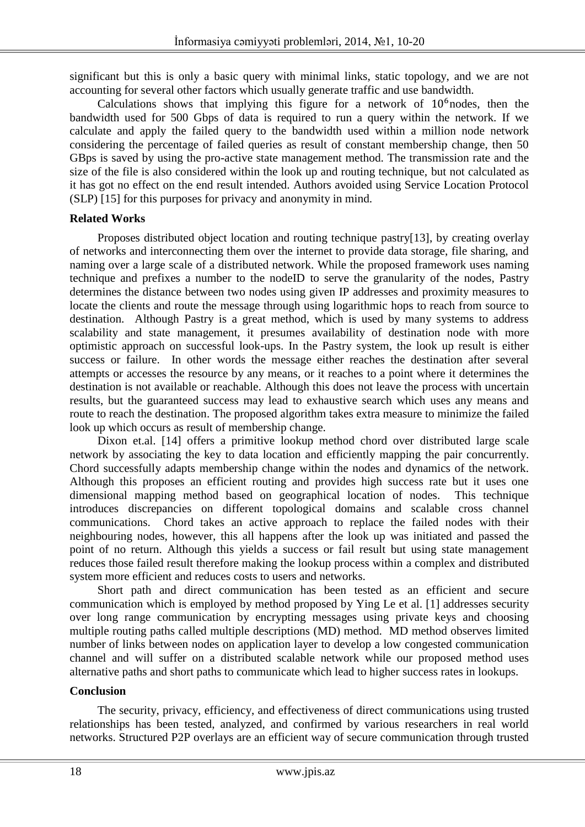significant but this is only a basic query with minimal links, static topology, and we are not accounting for several other factors which usually generate traffic and use bandwidth.

Calculations shows that implying this figure for a network of  $10<sup>6</sup>$  nodes, then the bandwidth used for 500 Gbps of data is required to run a query within the network. If we calculate and apply the failed query to the bandwidth used within a million node network considering the percentage of failed queries as result of constant membership change, then 50 GBps is saved by using the pro-active state management method. The transmission rate and the size of the file is also considered within the look up and routing technique, but not calculated as it has got no effect on the end result intended. Authors avoided using Service Location Protocol (SLP) [15] for this purposes for privacy and anonymity in mind.

## **Related Works**

Proposes distributed object location and routing technique pastry[13], by creating overlay of networks and interconnecting them over the internet to provide data storage, file sharing, and naming over a large scale of a distributed network. While the proposed framework uses naming technique and prefixes a number to the nodeID to serve the granularity of the nodes, Pastry determines the distance between two nodes using given IP addresses and proximity measures to locate the clients and route the message through using logarithmic hops to reach from source to destination. Although Pastry is a great method, which is used by many systems to address scalability and state management, it presumes availability of destination node with more optimistic approach on successful look-ups. In the Pastry system, the look up result is either success or failure. In other words the message either reaches the destination after several attempts or accesses the resource by any means, or it reaches to a point where it determines the destination is not available or reachable. Although this does not leave the process with uncertain results, but the guaranteed success may lead to exhaustive search which uses any means and route to reach the destination. The proposed algorithm takes extra measure to minimize the failed look up which occurs as result of membership change.

Dixon et.al. [14] offers a primitive lookup method chord over distributed large scale network by associating the key to data location and efficiently mapping the pair concurrently. Chord successfully adapts membership change within the nodes and dynamics of the network. Although this proposes an efficient routing and provides high success rate but it uses one dimensional mapping method based on geographical location of nodes. This technique introduces discrepancies on different topological domains and scalable cross channel communications. Chord takes an active approach to replace the failed nodes with their neighbouring nodes, however, this all happens after the look up was initiated and passed the point of no return. Although this yields a success or fail result but using state management reduces those failed result therefore making the lookup process within a complex and distributed system more efficient and reduces costs to users and networks.

Short path and direct communication has been tested as an efficient and secure communication which is employed by method proposed by Ying Le et al. [1] addresses security over long range communication by encrypting messages using private keys and choosing multiple routing paths called multiple descriptions (MD) method. MD method observes limited number of links between nodes on application layer to develop a low congested communication channel and will suffer on a distributed scalable network while our proposed method uses alternative paths and short paths to communicate which lead to higher success rates in lookups.

## **Conclusion**

The security, privacy, efficiency, and effectiveness of direct communications using trusted relationships has been tested, analyzed, and confirmed by various researchers in real world networks. Structured P2P overlays are an efficient way of secure communication through trusted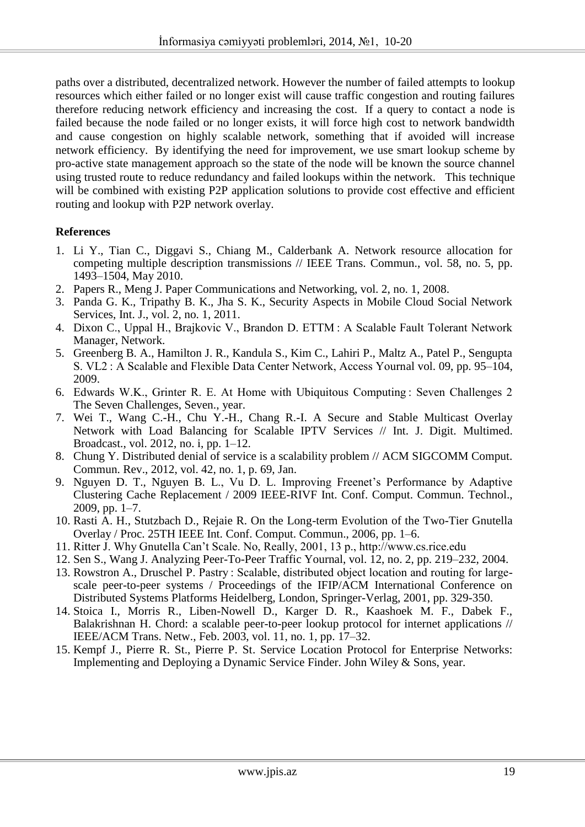paths over a distributed, decentralized network. However the number of failed attempts to lookup resources which either failed or no longer exist will cause traffic congestion and routing failures therefore reducing network efficiency and increasing the cost. If a query to contact a node is failed because the node failed or no longer exists, it will force high cost to network bandwidth and cause congestion on highly scalable network, something that if avoided will increase network efficiency. By identifying the need for improvement, we use smart lookup scheme by pro-active state management approach so the state of the node will be known the source channel using trusted route to reduce redundancy and failed lookups within the network. This technique will be combined with existing P2P application solutions to provide cost effective and efficient routing and lookup with P2P network overlay.

# **References**

- 1. Li Y., Tian C., Diggavi S., Chiang M., Calderbank A. Network resource allocation for competing multiple description transmissions // IEEE Trans. Commun., vol. 58, no. 5, pp. 1493–1504, May 2010.
- 2. Papers R., Meng J. Paper Communications and Networking, vol. 2, no. 1, 2008.
- 3. Panda G. K., Tripathy B. K., Jha S. K., Security Aspects in Mobile Cloud Social Network Services, Int. J., vol. 2, no. 1, 2011.
- 4. Dixon C., Uppal H., Brajkovic V., Brandon D. ETTM : A Scalable Fault Tolerant Network Manager, Network.
- 5. Greenberg B. A., Hamilton J. R., Kandula S., Kim C., Lahiri P., Maltz A., Patel P., Sengupta S. VL2 : A Scalable and Flexible Data Center Network, Access Yournal vol. 09, pp. 95–104, 2009.
- 6. Edwards W.K., Grinter R. E. At Home with Ubiquitous Computing : Seven Challenges 2 The Seven Challenges, Seven., year.
- 7. Wei T., Wang C.-H., Chu Y.-H., Chang R.-I. A Secure and Stable Multicast Overlay Network with Load Balancing for Scalable IPTV Services // Int. J. Digit. Multimed. Broadcast., vol. 2012, no. i, pp. 1–12.
- 8. Chung Y. Distributed denial of service is a scalability problem // ACM SIGCOMM Comput. Commun. Rev., 2012, vol. 42, no. 1, p. 69, Jan.
- 9. Nguyen D. T., Nguyen B. L., Vu D. L. Improving Freenet's Performance by Adaptive Clustering Cache Replacement / 2009 IEEE-RIVF Int. Conf. Comput. Commun. Technol., 2009, pp. 1–7.
- 10. Rasti A. H., Stutzbach D., Rejaie R. On the Long-term Evolution of the Two-Tier Gnutella Overlay / Proc. 25TH IEEE Int. Conf. Comput. Commun., 2006, pp. 1–6.
- 11. Ritter J. Why Gnutella Can't Scale. No, Really, 2001, 13 p., http://www.cs.rice.edu
- 12. Sen S., Wang J. Analyzing Peer-To-Peer Traffic Yournal, vol. 12, no. 2, pp. 219–232, 2004.
- 13. Rowstron A., Druschel P. Pastry : Scalable, distributed object location and routing for largescale peer-to-peer systems / Proceedings of the IFIP/ACM International Conference on Distributed Systems Platforms Heidelberg, London, Springer-Verlag, 2001, pp. 329-350.
- 14. Stoica I., Morris R., Liben-Nowell D., Karger D. R., Kaashoek M. F., Dabek F., Balakrishnan H. Chord: a scalable peer-to-peer lookup protocol for internet applications // IEEE/ACM Trans. Netw., Feb. 2003, vol. 11, no. 1, pp. 17–32.
- 15. Kempf J., Pierre R. St., Pierre P. St. Service Location Protocol for Enterprise Networks: Implementing and Deploying a Dynamic Service Finder. John Wiley & Sons, year.